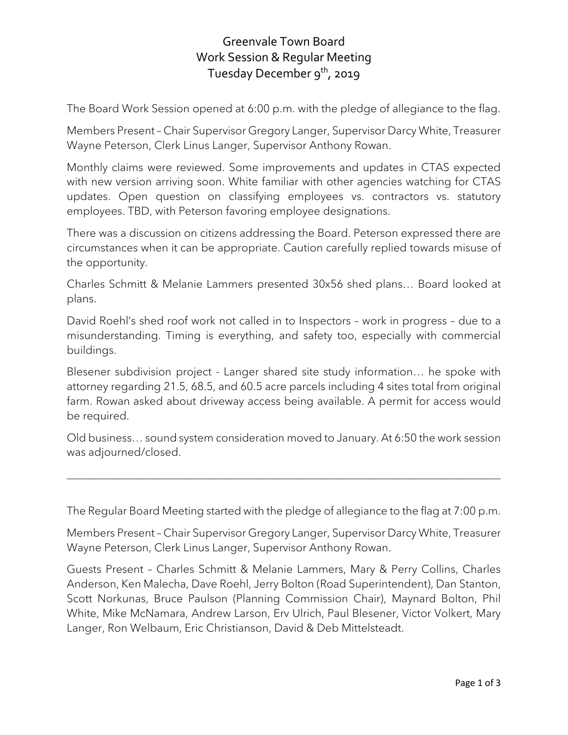## Greenvale Town Board Work Session & Regular Meeting Tuesday December 9<sup>th</sup>, 2019

The Board Work Session opened at 6:00 p.m. with the pledge of allegiance to the flag.

Members Present – Chair Supervisor Gregory Langer, Supervisor Darcy White, Treasurer Wayne Peterson, Clerk Linus Langer, Supervisor Anthony Rowan.

Monthly claims were reviewed. Some improvements and updates in CTAS expected with new version arriving soon. White familiar with other agencies watching for CTAS updates. Open question on classifying employees vs. contractors vs. statutory employees. TBD, with Peterson favoring employee designations.

There was a discussion on citizens addressing the Board. Peterson expressed there are circumstances when it can be appropriate. Caution carefully replied towards misuse of the opportunity.

Charles Schmitt & Melanie Lammers presented 30x56 shed plans… Board looked at plans.

David Roehl's shed roof work not called in to Inspectors – work in progress – due to a misunderstanding. Timing is everything, and safety too, especially with commercial buildings.

Blesener subdivision project - Langer shared site study information… he spoke with attorney regarding 21.5, 68.5, and 60.5 acre parcels including 4 sites total from original farm. Rowan asked about driveway access being available. A permit for access would be required.

Old business… sound system consideration moved to January. At 6:50 the work session was adjourned/closed.

\_\_\_\_\_\_\_\_\_\_\_\_\_\_\_\_\_\_\_\_\_\_\_\_\_\_\_\_\_\_\_\_\_\_\_\_\_\_\_\_\_\_\_\_\_\_\_\_\_\_\_\_\_\_\_\_\_\_\_\_\_\_\_\_\_\_\_\_\_\_\_\_\_\_\_\_\_\_

The Regular Board Meeting started with the pledge of allegiance to the flag at 7:00 p.m.

Members Present – Chair Supervisor Gregory Langer, Supervisor Darcy White, Treasurer Wayne Peterson, Clerk Linus Langer, Supervisor Anthony Rowan.

Guests Present – Charles Schmitt & Melanie Lammers, Mary & Perry Collins, Charles Anderson, Ken Malecha, Dave Roehl, Jerry Bolton (Road Superintendent), Dan Stanton, Scott Norkunas, Bruce Paulson (Planning Commission Chair), Maynard Bolton, Phil White, Mike McNamara, Andrew Larson, Erv Ulrich, Paul Blesener, Victor Volkert, Mary Langer, Ron Welbaum, Eric Christianson, David & Deb Mittelsteadt.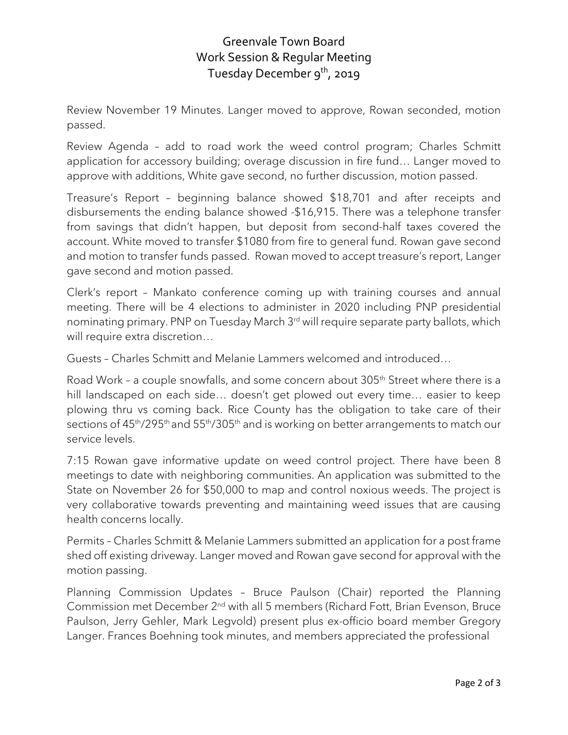## Greenvale Town Board Work Session & Regular Meeting Tuesday December 9<sup>th</sup>, 2019

Review November 19 Minutes. Langer moved to approve, Rowan seconded, motion passed.

Review Agenda – add to road work the weed control program; Charles Schmitt application for accessory building; overage discussion in fire fund… Langer moved to approve with additions, White gave second, no further discussion, motion passed.

Treasure's Report – beginning balance showed \$18,701 and after receipts and disbursements the ending balance showed -\$16,915. There was a telephone transfer from savings that didn't happen, but deposit from second-half taxes covered the account. White moved to transfer \$1080 from fire to general fund. Rowan gave second and motion to transfer funds passed. Rowan moved to accept treasure's report, Langer gave second and motion passed.

Clerk's report – Mankato conference coming up with training courses and annual meeting. There will be 4 elections to administer in 2020 including PNP presidential nominating primary. PNP on Tuesday March 3rd will require separate party ballots, which will require extra discretion…

Guests – Charles Schmitt and Melanie Lammers welcomed and introduced…

Road Work - a couple snowfalls, and some concern about 305<sup>th</sup> Street where there is a hill landscaped on each side... doesn't get plowed out every time... easier to keep plowing thru vs coming back. Rice County has the obligation to take care of their sections of  $45<sup>th</sup>/295<sup>th</sup>$  and  $55<sup>th</sup>/305<sup>th</sup>$  and is working on better arrangements to match our service levels.

7:15 Rowan gave informative update on weed control project. There have been 8 meetings to date with neighboring communities. An application was submitted to the State on November 26 for \$50,000 to map and control noxious weeds. The project is very collaborative towards preventing and maintaining weed issues that are causing health concerns locally.

Permits – Charles Schmitt & Melanie Lammers submitted an application for a post frame shed off existing driveway. Langer moved and Rowan gave second for approval with the motion passing.

Planning Commission Updates – Bruce Paulson (Chair) reported the Planning Commission met December 2nd with all 5 members (Richard Fott, Brian Evenson, Bruce Paulson, Jerry Gehler, Mark Legvold) present plus ex-officio board member Gregory Langer. Frances Boehning took minutes, and members appreciated the professional